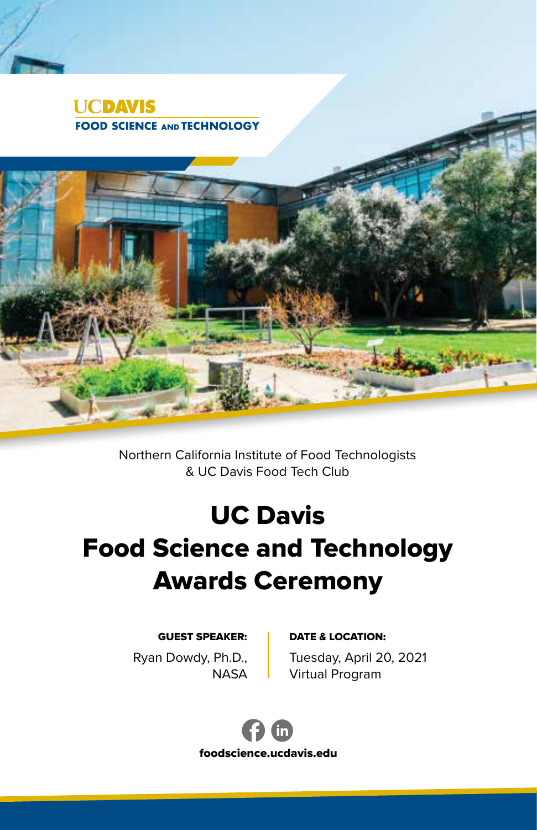

Northern California Institute of Food Technologists & UC Davis Food Tech Club

# UC Davis Food Science and Technology Awards Ceremony

#### GUEST SPEAKER: | DATE & LOCATION:

Ryan Dowdy, Ph.D., **NASA**  Tuesday, April 20, 2021 Virtual Program



foodscience.ucdavis.edu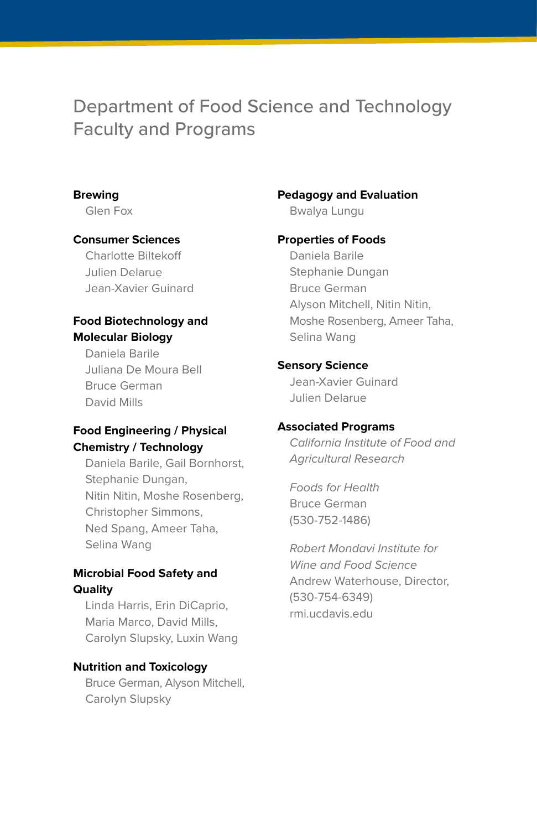## Department of Food Science and Technology Faculty and Programs

#### **Brewing**

Glen Fox

#### **Consumer Sciences**

Charlotte Biltekoff Julien Delarue Jean-Xavier Guinard

#### **Food Biotechnology and Molecular Biology**

Daniela Barile Juliana De Moura Bell Bruce German David Mills

#### **Food Engineering / Physical Chemistry / Technology**

Daniela Barile, Gail Bornhorst, Stephanie Dungan, Nitin Nitin, Moshe Rosenberg, Christopher Simmons, Ned Spang, Ameer Taha, Selina Wang

#### **Microbial Food Safety and Quality**

Linda Harris, Erin DiCaprio, Maria Marco, David Mills, Carolyn Slupsky, Luxin Wang

#### **Nutrition and Toxicology**

Bruce German, Alyson Mitchell, Carolyn Slupsky

#### **Pedagogy and Evaluation**

Bwalya Lungu

#### **Properties of Foods**

Daniela Barile Stephanie Dungan Bruce German Alyson Mitchell, Nitin Nitin, Moshe Rosenberg, Ameer Taha, Selina Wang

#### **Sensory Science**

Jean-Xavier Guinard Julien Delarue

#### **Associated Programs**

*California Institute of Food and Agricultural Research*

*Foods for Health* Bruce German (530-752-1486)

*Robert Mondavi Institute for Wine and Food Science* Andrew Waterhouse, Director, (530-754-6349) rmi.ucdavis.edu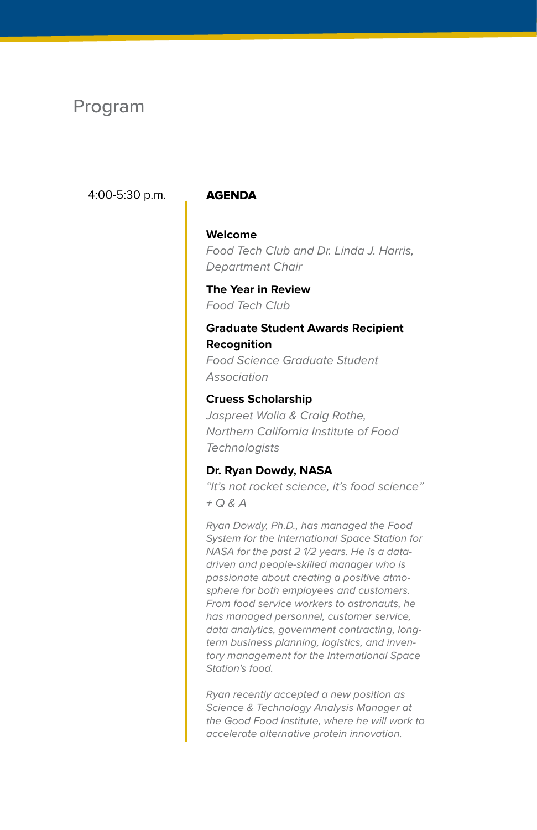## Program

#### 4:00-5:30 p.m. AGENDA

#### **Welcome**

*Food Tech Club and Dr. Linda J. Harris, Department Chair*

**The Year in Review** *Food Tech Club*

#### **Graduate Student Awards Recipient Recognition**

*Food Science Graduate Student Association*

#### **Cruess Scholarship**

*Jaspreet Walia & Craig Rothe, Northern California Institute of Food Technologists* 

#### **Dr. Ryan Dowdy, NASA**

*"It's not rocket science, it's food science" + Q & A*

*Ryan Dowdy, Ph.D., has managed the Food System for the International Space Station for NASA for the past 2 1/2 years. He is a datadriven and people-skilled manager who is passionate about creating a positive atmosphere for both employees and customers. From food service workers to astronauts, he has managed personnel, customer service, data analytics, government contracting, longterm business planning, logistics, and inventory management for the International Space Station's food.*

*Ryan recently accepted a new position as Science & Technology Analysis Manager at the Good Food Institute, where he will work to accelerate alternative protein innovation.*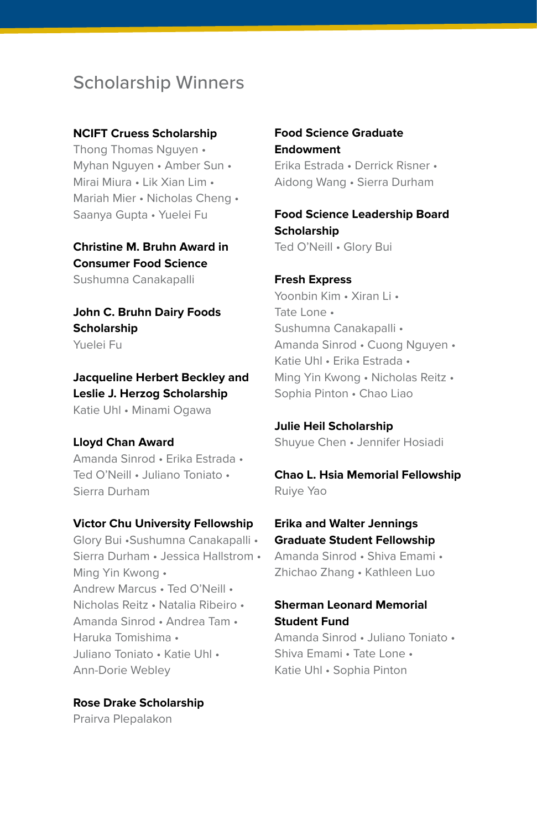## Scholarship Winners

#### **NCIFT Cruess Scholarship**

Thong Thomas Nguyen • Myhan Nguyen • Amber Sun • Mirai Miura • Lik Xian Lim • Mariah Mier • Nicholas Cheng • Saanya Gupta • Yuelei Fu

#### **Christine M. Bruhn Award in Consumer Food Science** Sushumna Canakapalli

**John C. Bruhn Dairy Foods Scholarship** Yuelei Fu

**Jacqueline Herbert Beckley and Leslie J. Herzog Scholarship** Katie Uhl • Minami Ogawa

#### **Lloyd Chan Award**

Amanda Sinrod • Erika Estrada • Ted O'Neill • Juliano Toniato • Sierra Durham

#### **Victor Chu University Fellowship**

Glory Bui •Sushumna Canakapalli • Sierra Durham • Jessica Hallstrom • Ming Yin Kwong • Andrew Marcus • Ted O'Neill • Nicholas Reitz • Natalia Ribeiro • Amanda Sinrod • Andrea Tam • Haruka Tomishima • Juliano Toniato • Katie Uhl • Ann-Dorie Webley

**Rose Drake Scholarship** Prairva Plepalakon

#### **Food Science Graduate Endowment**

Erika Estrada • Derrick Risner • Aidong Wang • Sierra Durham

#### **Food Science Leadership Board Scholarship** Ted O'Neill • Glory Bui

**Fresh Express** Yoonbin Kim • Xiran Li • Tate Lone • Sushumna Canakapalli • Amanda Sinrod • Cuong Nguyen • Katie Uhl • Erika Estrada • Ming Yin Kwong • Nicholas Reitz • Sophia Pinton • Chao Liao

**Julie Heil Scholarship** Shuyue Chen • Jennifer Hosiadi

**Chao L. Hsia Memorial Fellowship** Ruiye Yao

**Erika and Walter Jennings Graduate Student Fellowship**

Amanda Sinrod • Shiva Emami • Zhichao Zhang • Kathleen Luo

#### **Sherman Leonard Memorial Student Fund**

Amanda Sinrod • Juliano Toniato • Shiva Emami • Tate Lone • Katie Uhl • Sophia Pinton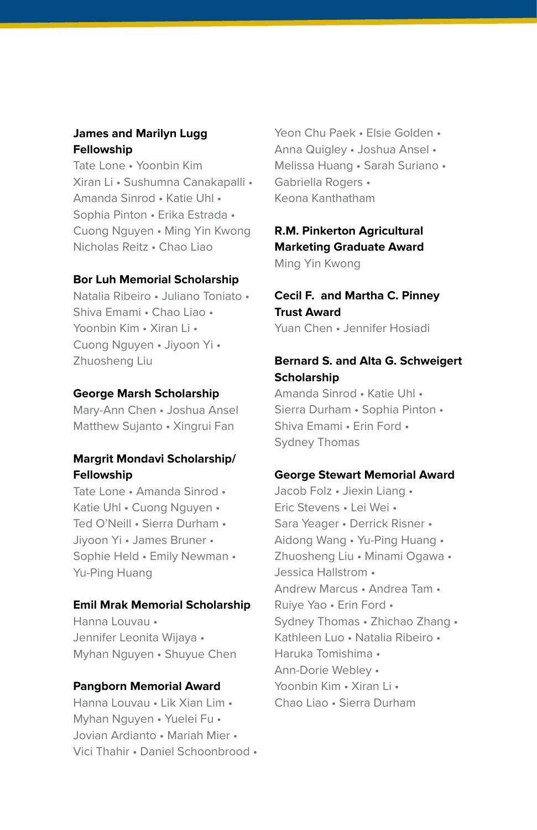#### **James and Marilyn Lugg Fellowship**

Tate Lone • Yoonbin Kim Xiran Li • Sushumna Canakapalli • Amanda Sinrod • Katie Uhl • Sophia Pinton • Erika Estrada • Cuong Nguyen • Ming Yin Kwong Nicholas Reitz • Chao Liao

#### **Bor Luh Memorial Scholarship**

Natalia Ribeiro • Juliano Toniato • Shiva Emami • Chao Liao • Yoonbin Kim • Xiran Li • Cuong Nguyen • Jiyoon Yi • Zhuosheng Liu

#### **George Marsh Scholarship**

Mary-Ann Chen • Joshua Ansel Matthew Sujanto • Xingrui Fan

#### **Margrit Mondavi Scholarship/ Fellowship**

Tate Lone • Amanda Sinrod • Katie Uhl • Cuong Nguyen • Ted O'Neill • Sierra Durham • Jiyoon Yi • James Bruner • Sophie Held • Emily Newman • Yu-Ping Huang

#### **Emil Mrak Memorial Scholarship**

Hanna Louvau • Jennifer Leonita Wijaya • Myhan Nguyen • Shuyue Chen

#### **Pangborn Memorial Award**

Hanna Louvau • Lik Xian Lim • Myhan Nguyen • Yuelei Fu • Jovian Ardianto • Mariah Mier • Vici Thahir • Daniel Schoonbrood •

Yeon Chu Paek • Elsie Golden • Anna Quigley • Joshua Ansel • Melissa Huang • Sarah Suriano • Gabriella Rogers • Keona Kanthatham

#### **R.M. Pinkerton Agricultural Marketing Graduate Award**

Ming Yin Kwong

### **Cecil F. and Martha C. Pinney Trust Award**

Yuan Chen • Jennifer Hosiadi

#### **Bernard S. and Alta G. Schweigert Scholarship**

Amanda Sinrod • Katie Uhl • Sierra Durham • Sophia Pinton • Shiva Emami • Erin Ford • Sydney Thomas

#### **George Stewart Memorial Award**

Jacob Folz • Jiexin Liang • Eric Stevens • Lei Wei • Sara Yeager • Derrick Risner • Aidong Wang • Yu-Ping Huang • Zhuosheng Liu • Minami Ogawa • Jessica Hallstrom • Andrew Marcus • Andrea Tam • Ruiye Yao • Erin Ford • Sydney Thomas • Zhichao Zhang • Kathleen Luo • Natalia Ribeiro • Haruka Tomishima • Ann-Dorie Webley • Yoonbin Kim • Xiran Li • Chao Liao • Sierra Durham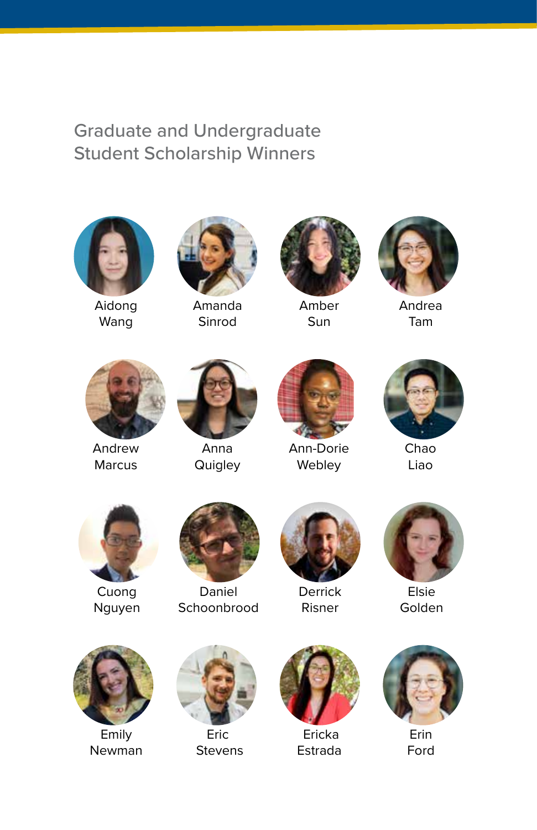## Graduate and Undergraduate Student Scholarship Winners



Aidong Wang



Amanda Sinrod



Amber Sun



Andrea Tam



Andrew Marcus



Anna **Quigley** 



Ann-Dorie Webley



Chao Liao



Cuong Nguyen



Daniel Schoonbrood



**Derrick** Risner



Elsie Golden



Emily Newman



Eric **Stevens** 



 Ericka Estrada



Erin Ford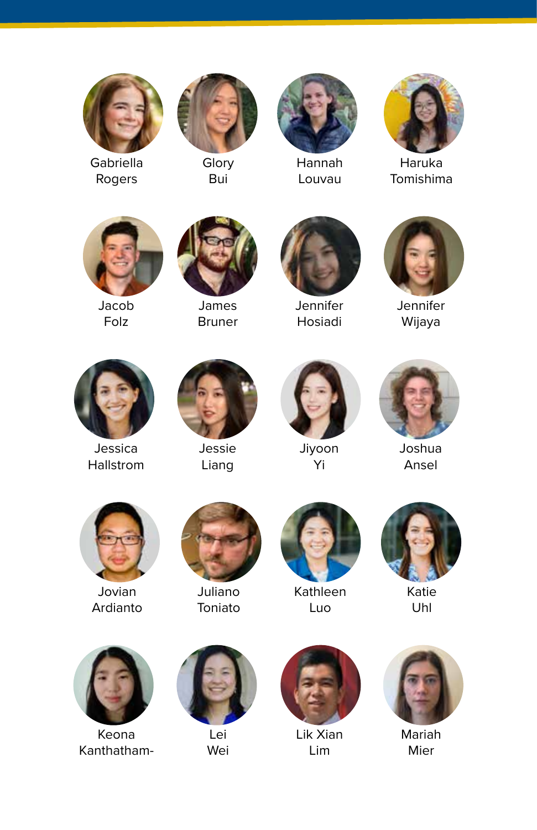

Gabriella Rogers



Glory Bui



Hannah Louvau



Haruka Tomishima



Jacob Folz



James Bruner



Jennifer Hosiadi



Jennifer Wijaya



Jessica **Hallstrom** 



Jessie Liang



Jiyoon .<br>Yi



Joshua Ansel



Jovian Ardianto



Juliano Toniato



Kathleen Luo



Katie Uhl



Keona Kanthatham-



Lei Wei



Lik Xian Lim



Mariah Mier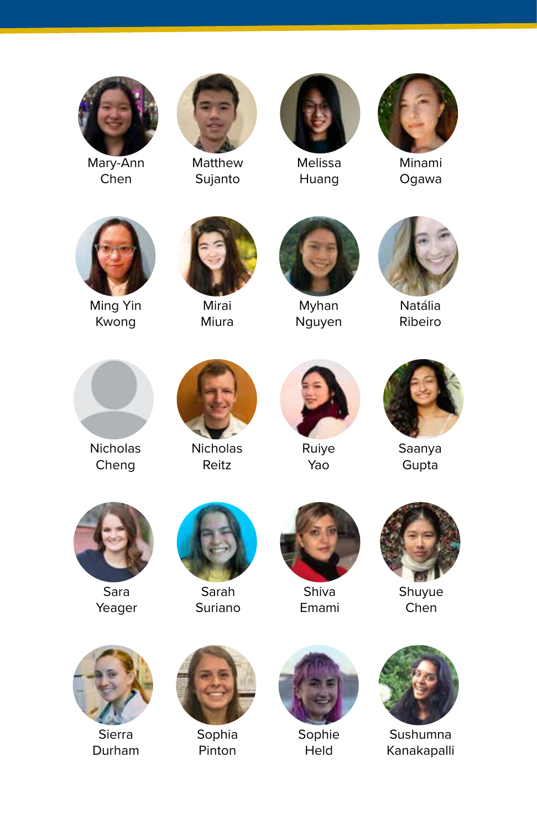

Mary-Ann Chen



Matthew Sujanto



Melissa Huang



Minami Ogawa



Ming Yin Kwong



Mirai Miura



Myhan Nguyen



Natália Ribeiro



**Nicholas** Cheng



Nicholas Reitz



Ruiye Yao



Saanya Gupta



Sara Yeager



Sarah Suriano



Shiva Emami



Shuyue Chen



Sierra Durham



Sophia Pinton



Sophie Held



Sushumna Kanakapalli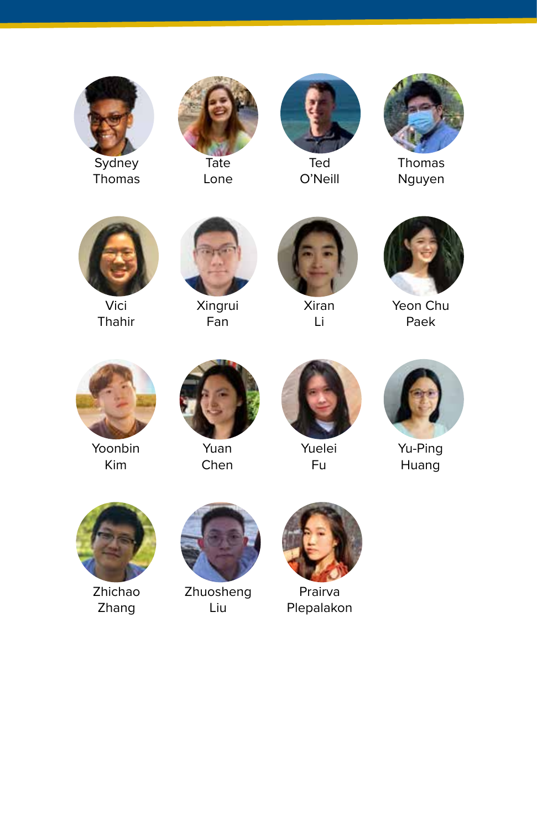

Thomas



Lone



Ted O'Neill



Thomas Nguyen



Vici Thahir



Xingrui Fan



Xiran Li



Yeon Chu Paek



Yoonbin Kim



Yuan Chen



Yuelei Fu



Yu-Ping Huang



Zhichao Zhang



Zhuosheng Liu



Prairva Plepalakon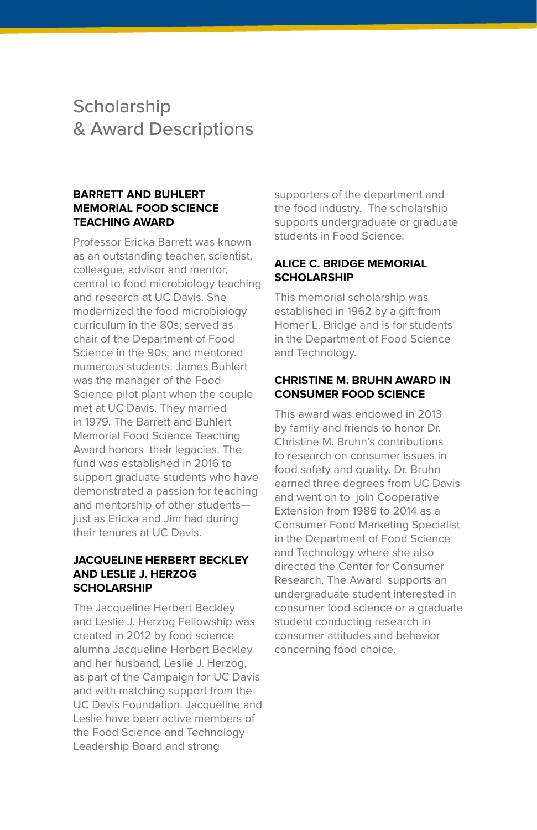## **Scholarship** & Award Descriptions

#### **BARRETT AND BUHLERT MEMORIAL FOOD SCIENCE TEACHING AWARD**

Professor Ericka Barrett was known as an outstanding teacher, scientist, colleague, advisor and mentor, central to food microbiology teaching and research at UC Davis. She modernized the food microbiology curriculum in the 80s; served as chair of the Department of Food Science in the 90s; and mentored numerous students. James Buhlert was the manager of the Food Science pilot plant when the couple met at UC Davis. They married in 1979. The Barrett and Buhlert Memorial Food Science Teaching Award honors their legacies. The fund was established in 2016 to support graduate students who have demonstrated a passion for teaching and mentorship of other students just as Ericka and Jim had during their tenures at UC Davis.

#### **JACQUELINE HERBERT BECKLEY AND LESLIE J. HERZOG SCHOLARSHIP**

The Jacqueline Herbert Beckley and Leslie J. Herzog Fellowship was created in 2012 by food science alumna Jacqueline Herbert Beckley and her husband, Leslie J. Herzog, as part of the Campaign for UC Davis and with matching support from the UC Davis Foundation. Jacqueline and Leslie have been active members of the Food Science and Technology Leadership Board and strong

supporters of the department and the food industry. The scholarship supports undergraduate or graduate students in Food Science.

#### **ALICE C. BRIDGE MEMORIAL SCHOLARSHIP**

This memorial scholarship was established in 1962 by a gift from Homer L. Bridge and is for students in the Department of Food Science and Technology.

#### **CHRISTINE M. BRUHN AWARD IN CONSUMER FOOD SCIENCE**

This award was endowed in 2013 by family and friends to honor Dr. Christine M. Bruhn's contributions to research on consumer issues in food safety and quality. Dr. Bruhn earned three degrees from UC Davis and went on to join Cooperative Extension from 1986 to 2014 as a Consumer Food Marketing Specialist in the Department of Food Science and Technology where she also directed the Center for Consumer Research. The Award supports an undergraduate student interested in consumer food science or a graduate student conducting research in consumer attitudes and behavior concerning food choice.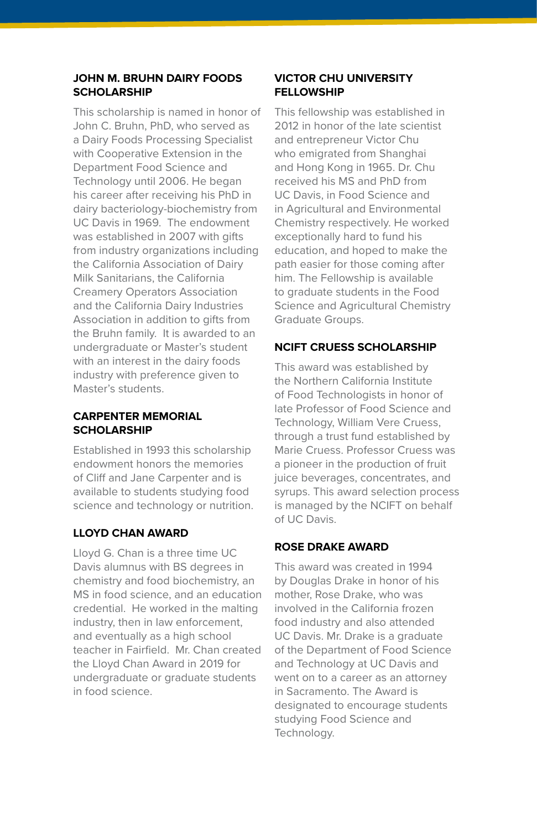#### **JOHN M. BRUHN DAIRY FOODS SCHOLARSHIP**

This scholarship is named in honor of John C. Bruhn, PhD, who served as a Dairy Foods Processing Specialist with Cooperative Extension in the Department Food Science and Technology until 2006. He began his career after receiving his PhD in dairy bacteriology-biochemistry from UC Davis in 1969. The endowment was established in 2007 with gifts from industry organizations including the California Association of Dairy Milk Sanitarians, the California Creamery Operators Association and the California Dairy Industries Association in addition to gifts from the Bruhn family. It is awarded to an undergraduate or Master's student with an interest in the dairy foods industry with preference given to Master's students.

#### **CARPENTER MEMORIAL SCHOLARSHIP**

Established in 1993 this scholarship endowment honors the memories of Cliff and Jane Carpenter and is available to students studying food science and technology or nutrition.

#### **LLOYD CHAN AWARD**

Lloyd G. Chan is a three time UC Davis alumnus with BS degrees in chemistry and food biochemistry, an MS in food science, and an education credential. He worked in the malting industry, then in law enforcement, and eventually as a high school teacher in Fairfield. Mr. Chan created the Lloyd Chan Award in 2019 for undergraduate or graduate students in food science.

#### **VICTOR CHU UNIVERSITY FELLOWSHIP**

This fellowship was established in 2012 in honor of the late scientist and entrepreneur Victor Chu who emigrated from Shanghai and Hong Kong in 1965. Dr. Chu received his MS and PhD from UC Davis, in Food Science and in Agricultural and Environmental Chemistry respectively. He worked exceptionally hard to fund his education, and hoped to make the path easier for those coming after him. The Fellowship is available to graduate students in the Food Science and Agricultural Chemistry Graduate Groups.

#### **NCIFT CRUESS SCHOLARSHIP**

This award was established by the Northern California Institute of Food Technologists in honor of late Professor of Food Science and Technology, William Vere Cruess, through a trust fund established by Marie Cruess. Professor Cruess was a pioneer in the production of fruit juice beverages, concentrates, and syrups. This award selection process is managed by the NCIFT on behalf of UC Davis.

#### **ROSE DRAKE AWARD**

This award was created in 1994 by Douglas Drake in honor of his mother, Rose Drake, who was involved in the California frozen food industry and also attended UC Davis. Mr. Drake is a graduate of the Department of Food Science and Technology at UC Davis and went on to a career as an attorney in Sacramento. The Award is designated to encourage students studying Food Science and Technology.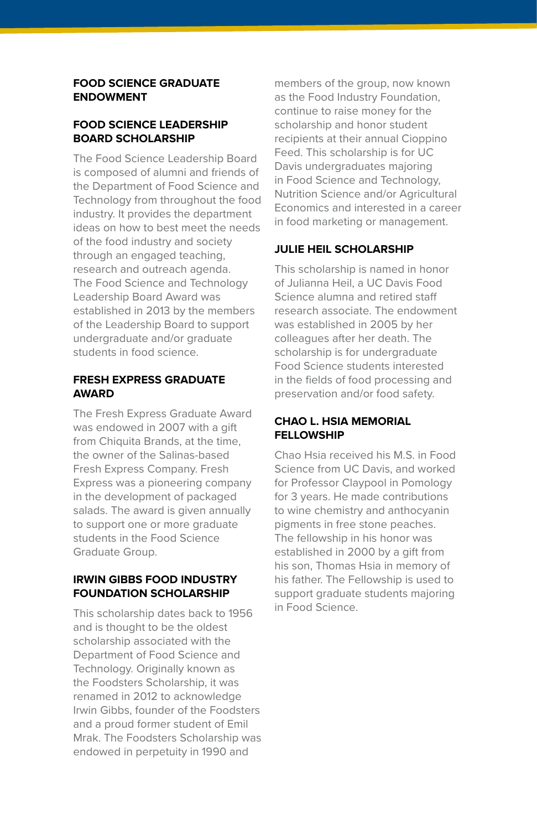#### **FOOD SCIENCE GRADUATE ENDOWMENT**

#### **FOOD SCIENCE LEADERSHIP BOARD SCHOLARSHIP**

The Food Science Leadership Board is composed of alumni and friends of the Department of Food Science and Technology from throughout the food industry. It provides the department ideas on how to best meet the needs of the food industry and society through an engaged teaching, research and outreach agenda. The Food Science and Technology Leadership Board Award was established in 2013 by the members of the Leadership Board to support undergraduate and/or graduate students in food science.

#### **FRESH EXPRESS GRADUATE AWARD**

The Fresh Express Graduate Award was endowed in 2007 with a gift from Chiquita Brands, at the time, the owner of the Salinas-based Fresh Express Company. Fresh Express was a pioneering company in the development of packaged salads. The award is given annually to support one or more graduate students in the Food Science Graduate Group.

#### **IRWIN GIBBS FOOD INDUSTRY FOUNDATION SCHOLARSHIP**

This scholarship dates back to 1956 and is thought to be the oldest scholarship associated with the Department of Food Science and Technology. Originally known as the Foodsters Scholarship, it was renamed in 2012 to acknowledge Irwin Gibbs, founder of the Foodsters and a proud former student of Emil Mrak. The Foodsters Scholarship was endowed in perpetuity in 1990 and

members of the group, now known as the Food Industry Foundation, continue to raise money for the scholarship and honor student recipients at their annual Cioppino Feed. This scholarship is for UC Davis undergraduates majoring in Food Science and Technology, Nutrition Science and/or Agricultural Economics and interested in a career in food marketing or management.

#### **JULIE HEIL SCHOLARSHIP**

This scholarship is named in honor of Julianna Heil, a UC Davis Food Science alumna and retired staff research associate. The endowment was established in 2005 by her colleagues after her death. The scholarship is for undergraduate Food Science students interested in the fields of food processing and preservation and/or food safety.

#### **CHAO L. HSIA MEMORIAL FELLOWSHIP**

Chao Hsia received his M.S. in Food Science from UC Davis, and worked for Professor Claypool in Pomology for 3 years. He made contributions to wine chemistry and anthocyanin pigments in free stone peaches. The fellowship in his honor was established in 2000 by a gift from his son, Thomas Hsia in memory of his father. The Fellowship is used to support graduate students majoring in Food Science.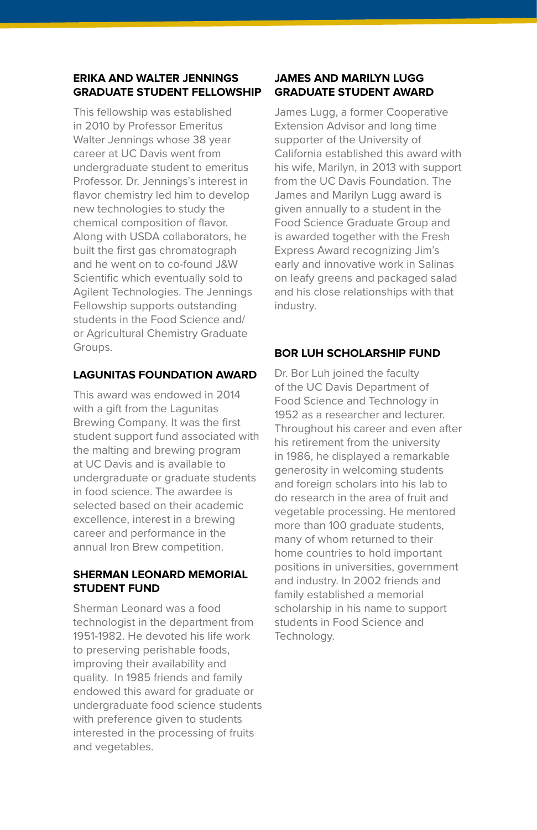#### **ERIKA AND WALTER JENNINGS GRADUATE STUDENT FELLOWSHIP**

This fellowship was established in 2010 by Professor Emeritus Walter Jennings whose 38 year career at UC Davis went from undergraduate student to emeritus Professor. Dr. Jennings's interest in flavor chemistry led him to develop new technologies to study the chemical composition of flavor. Along with USDA collaborators, he built the first gas chromatograph and he went on to co-found J&W Scientific which eventually sold to Agilent Technologies. The Jennings Fellowship supports outstanding students in the Food Science and/ or Agricultural Chemistry Graduate Groups.

#### **LAGUNITAS FOUNDATION AWARD**

This award was endowed in 2014 with a gift from the Lagunitas Brewing Company. It was the first student support fund associated with the malting and brewing program at UC Davis and is available to undergraduate or graduate students in food science. The awardee is selected based on their academic excellence, interest in a brewing career and performance in the annual Iron Brew competition.

#### **SHERMAN LEONARD MEMORIAL STUDENT FUND**

Sherman Leonard was a food technologist in the department from 1951-1982. He devoted his life work to preserving perishable foods, improving their availability and quality. In 1985 friends and family endowed this award for graduate or undergraduate food science students with preference given to students interested in the processing of fruits and vegetables.

#### **JAMES AND MARILYN LUGG GRADUATE STUDENT AWARD**

James Lugg, a former Cooperative Extension Advisor and long time supporter of the University of California established this award with his wife, Marilyn, in 2013 with support from the UC Davis Foundation. The James and Marilyn Lugg award is given annually to a student in the Food Science Graduate Group and is awarded together with the Fresh Express Award recognizing Jim's early and innovative work in Salinas on leafy greens and packaged salad and his close relationships with that industry.

#### **BOR LUH SCHOLARSHIP FUND**

Dr. Bor Luh joined the faculty of the UC Davis Department of Food Science and Technology in 1952 as a researcher and lecturer. Throughout his career and even after his retirement from the university in 1986, he displayed a remarkable generosity in welcoming students and foreign scholars into his lab to do research in the area of fruit and vegetable processing. He mentored more than 100 graduate students, many of whom returned to their home countries to hold important positions in universities, government and industry. In 2002 friends and family established a memorial scholarship in his name to support students in Food Science and Technology.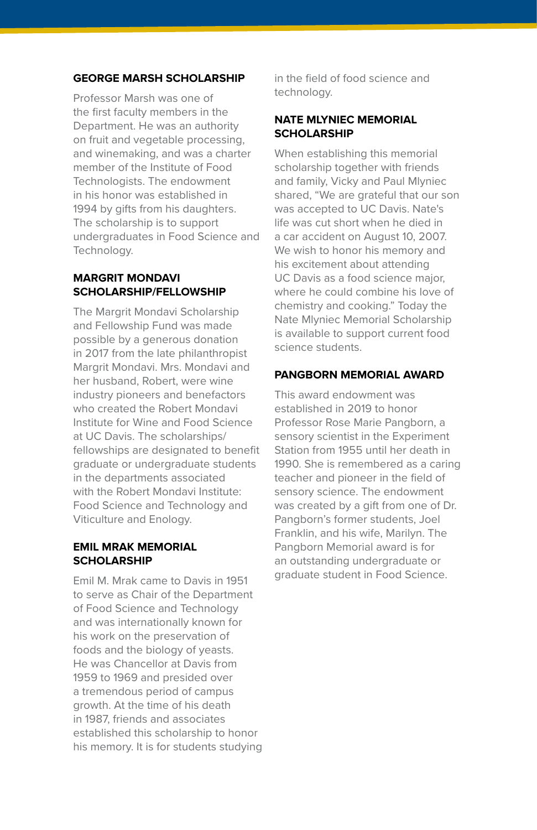#### **GEORGE MARSH SCHOLARSHIP**

Professor Marsh was one of the first faculty members in the Department. He was an authority on fruit and vegetable processing, and winemaking, and was a charter member of the Institute of Food Technologists. The endowment in his honor was established in 1994 by gifts from his daughters. The scholarship is to support undergraduates in Food Science and Technology.

#### **MARGRIT MONDAVI SCHOLARSHIP/FELLOWSHIP**

The Margrit Mondavi Scholarship and Fellowship Fund was made possible by a generous donation in 2017 from the late philanthropist Margrit Mondavi. Mrs. Mondavi and her husband, Robert, were wine industry pioneers and benefactors who created the Robert Mondavi Institute for Wine and Food Science at UC Davis. The scholarships/ fellowships are designated to benefit graduate or undergraduate students in the departments associated with the Robert Mondavi Institute: Food Science and Technology and Viticulture and Enology.

#### **EMIL MRAK MEMORIAL SCHOLARSHIP**

Emil M. Mrak came to Davis in 1951 to serve as Chair of the Department of Food Science and Technology and was internationally known for his work on the preservation of foods and the biology of yeasts. He was Chancellor at Davis from 1959 to 1969 and presided over a tremendous period of campus growth. At the time of his death in 1987, friends and associates established this scholarship to honor his memory. It is for students studying

in the field of food science and technology.

#### **NATE MLYNIEC MEMORIAL SCHOLARSHIP**

When establishing this memorial scholarship together with friends and family, Vicky and Paul Mlyniec shared, "We are grateful that our son was accepted to UC Davis. Nate's life was cut short when he died in a car accident on August 10, 2007. We wish to honor his memory and his excitement about attending UC Davis as a food science major, where he could combine his love of chemistry and cooking." Today the Nate Mlyniec Memorial Scholarship is available to support current food science students.

#### **PANGBORN MEMORIAL AWARD**

This award endowment was established in 2019 to honor Professor Rose Marie Pangborn, a sensory scientist in the Experiment Station from 1955 until her death in 1990. She is remembered as a caring teacher and pioneer in the field of sensory science. The endowment was created by a gift from one of Dr. Pangborn's former students, Joel Franklin, and his wife, Marilyn. The Pangborn Memorial award is for an outstanding undergraduate or graduate student in Food Science.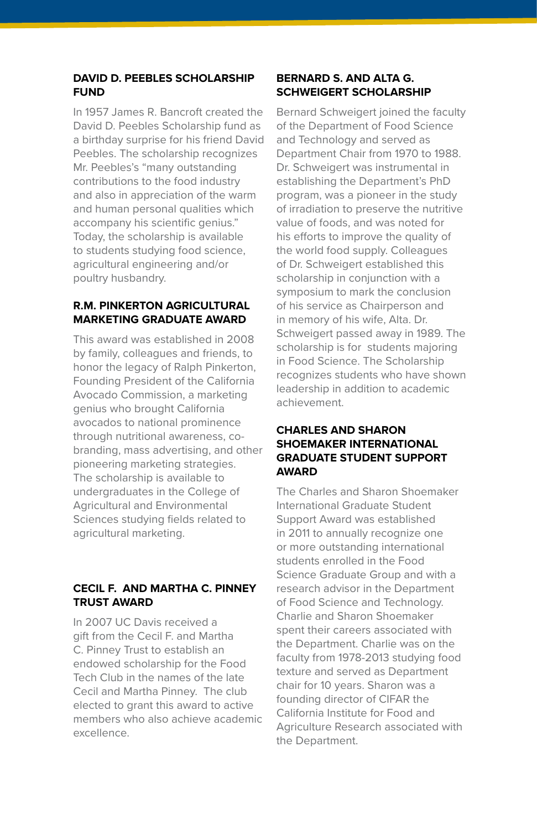#### **DAVID D. PEEBLES SCHOLARSHIP FUND**

In 1957 James R. Bancroft created the David D. Peebles Scholarship fund as a birthday surprise for his friend David Peebles. The scholarship recognizes Mr. Peebles's "many outstanding contributions to the food industry and also in appreciation of the warm and human personal qualities which accompany his scientific genius." Today, the scholarship is available to students studying food science, agricultural engineering and/or poultry husbandry.

#### **R.M. PINKERTON AGRICULTURAL MARKETING GRADUATE AWARD**

This award was established in 2008 by family, colleagues and friends, to honor the legacy of Ralph Pinkerton, Founding President of the California Avocado Commission, a marketing genius who brought California avocados to national prominence through nutritional awareness, cobranding, mass advertising, and other pioneering marketing strategies. The scholarship is available to undergraduates in the College of Agricultural and Environmental Sciences studying fields related to agricultural marketing.

#### **CECIL F. AND MARTHA C. PINNEY TRUST AWARD**

In 2007 UC Davis received a gift from the Cecil F. and Martha C. Pinney Trust to establish an endowed scholarship for the Food Tech Club in the names of the late Cecil and Martha Pinney. The club elected to grant this award to active members who also achieve academic excellence.

#### **BERNARD S. AND ALTA G. SCHWEIGERT SCHOLARSHIP**

Bernard Schweigert joined the faculty of the Department of Food Science and Technology and served as Department Chair from 1970 to 1988. Dr. Schweigert was instrumental in establishing the Department's PhD program, was a pioneer in the study of irradiation to preserve the nutritive value of foods, and was noted for his efforts to improve the quality of the world food supply. Colleagues of Dr. Schweigert established this scholarship in conjunction with a symposium to mark the conclusion of his service as Chairperson and in memory of his wife, Alta. Dr. Schweigert passed away in 1989. The scholarship is for students majoring in Food Science. The Scholarship recognizes students who have shown leadership in addition to academic achievement.

#### **CHARLES AND SHARON SHOEMAKER INTERNATIONAL GRADUATE STUDENT SUPPORT AWARD**

The Charles and Sharon Shoemaker International Graduate Student Support Award was established in 2011 to annually recognize one or more outstanding international students enrolled in the Food Science Graduate Group and with a research advisor in the Department of Food Science and Technology. Charlie and Sharon Shoemaker spent their careers associated with the Department. Charlie was on the faculty from 1978-2013 studying food texture and served as Department chair for 10 years. Sharon was a founding director of CIFAR the California Institute for Food and Agriculture Research associated with the Department.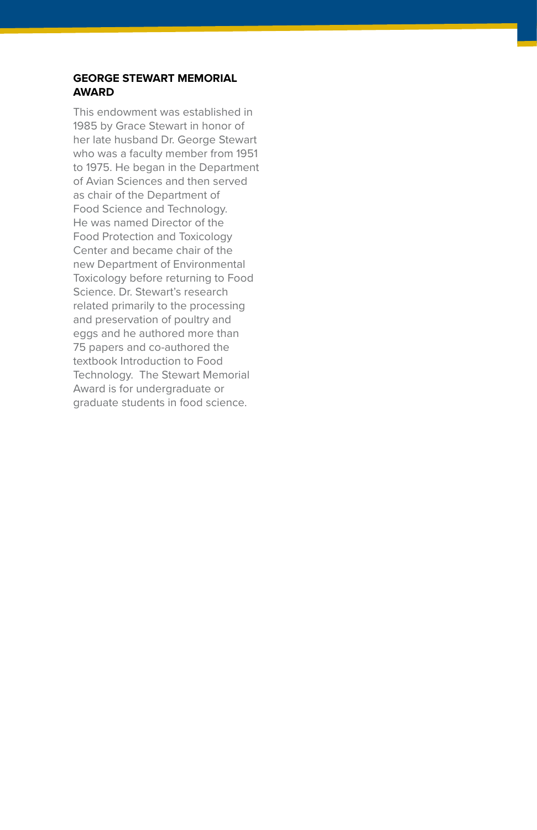#### **GEORGE STEWART MEMORIAL AWARD**

This endowment was established in 1985 by Grace Stewart in honor of her late husband Dr. George Stewart who was a faculty member from 1951 to 1975. He began in the Department of Avian Sciences and then served as chair of the Department of Food Science and Technology. He was named Director of the Food Protection and Toxicology Center and became chair of the new Department of Environmental Toxicology before returning to Food Science. Dr. Stewart's research related primarily to the processing and preservation of poultry and eggs and he authored more than 75 papers and co-authored the textbook Introduction to Food Technology. The Stewart Memorial Award is for undergraduate or graduate students in food science.